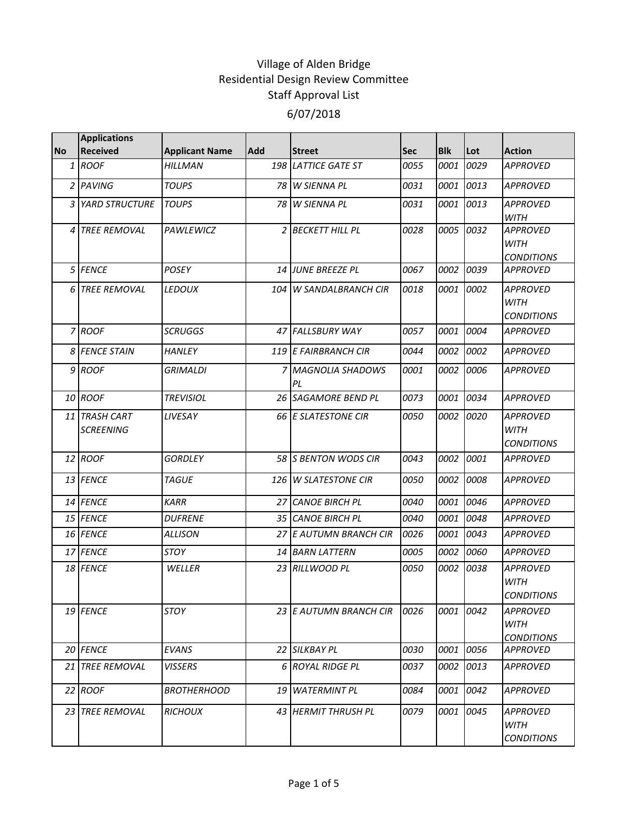|           | <b>Applications</b>               |                       |     |                          |      |            |      |                                                     |
|-----------|-----------------------------------|-----------------------|-----|--------------------------|------|------------|------|-----------------------------------------------------|
| <b>No</b> | <b>Received</b>                   | <b>Applicant Name</b> | Add | <b>Street</b>            | Sec  | <b>Blk</b> | Lot  | <b>Action</b>                                       |
|           | $1$ ROOF                          | <b>HILLMAN</b>        |     | 198 LATTICE GATE ST      | 0055 | 0001       | 0029 | <b>APPROVED</b>                                     |
|           | 2 PAVING                          | <b>TOUPS</b>          |     | 78 W SIENNA PL           | 0031 | 0001       | 0013 | <b>APPROVED</b>                                     |
|           | 3 YARD STRUCTURE                  | <b>TOUPS</b>          | 78  | <b>W SIENNA PL</b>       | 0031 | 0001       | 0013 | <b>APPROVED</b><br><b>WITH</b>                      |
|           | 4 TREE REMOVAL                    | <b>PAWLEWICZ</b>      |     | 2 BECKETT HILL PL        | 0028 | 0005       | 0032 | <b>APPROVED</b><br><b>WITH</b><br><b>CONDITIONS</b> |
|           | 5 FENCE                           | <b>POSEY</b>          |     | <b>14 JUNE BREEZE PL</b> | 0067 | 0002       | 0039 | <b>APPROVED</b>                                     |
|           | 6 TREE REMOVAL                    | <b>LEDOUX</b>         |     | 104 W SANDALBRANCH CIR   | 0018 | 0001       | 0002 | <b>APPROVED</b><br><b>WITH</b><br><b>CONDITIONS</b> |
|           | 7 ROOF                            | <b>SCRUGGS</b>        |     | 47 FALLSBURY WAY         | 0057 | 0001       | 0004 | <b>APPROVED</b>                                     |
|           | 8 FENCE STAIN                     | <b>HANLEY</b>         |     | 119 E FAIRBRANCH CIR     | 0044 | 0002       | 0002 | <b>APPROVED</b>                                     |
|           | 9 ROOF                            | <b>GRIMALDI</b>       |     | 7 MAGNOLIA SHADOWS<br>PL | 0001 | 0002       | 0006 | <b>APPROVED</b>                                     |
|           | 10 ROOF                           | <b>TREVISIOL</b>      |     | 26 SAGAMORE BEND PL      | 0073 | 0001       | 0034 | <b>APPROVED</b>                                     |
|           | 11 TRASH CART<br><b>SCREENING</b> | LIVESAY               |     | 66 E SLATESTONE CIR      | 0050 | 0002       | 0020 | <b>APPROVED</b><br><b>WITH</b><br><b>CONDITIONS</b> |
|           | 12 ROOF                           | <b>GORDLEY</b>        |     | 58 S BENTON WODS CIR     | 0043 | 0002       | 0001 | <b>APPROVED</b>                                     |
|           | 13 FENCE                          | <b>TAGUE</b>          |     | 126 W SLATESTONE CIR     | 0050 | 0002       | 0008 | <b>APPROVED</b>                                     |
|           | 14 FENCE                          | <b>KARR</b>           | 27  | <b>CANOE BIRCH PL</b>    | 0040 | 0001       | 0046 | <b>APPROVED</b>                                     |
|           | 15 FENCE                          | <b>DUFRENE</b>        |     | 35 CANOE BIRCH PL        | 0040 | 0001       | 0048 | <b>APPROVED</b>                                     |
|           | 16 FENCE                          | <b>ALLISON</b>        |     | 27 E AUTUMN BRANCH CIR   | 0026 | 0001       | 0043 | <b>APPROVED</b>                                     |
|           | 17 FENCE                          | <b>STOY</b>           |     | 14 BARN LATTERN          | 0005 | 0002       | 0060 | <b>APPROVED</b>                                     |
|           | 18 FENCE                          | WELLER                |     | 23 RILLWOOD PL           | 0050 | 0002       | 0038 | <b>APPROVED</b><br>WITH<br><b>CONDITIONS</b>        |
|           | 19 FENCE                          | STOY                  |     | 23 E AUTUMN BRANCH CIR   | 0026 | 0001       | 0042 | <b>APPROVED</b><br>WITH<br><b>CONDITIONS</b>        |
|           | 20 FENCE                          | <b>EVANS</b>          |     | 22 SILKBAY PL            | 0030 | 0001       | 0056 | <b>APPROVED</b>                                     |
|           | 21 TREE REMOVAL                   | <b>VISSERS</b>        |     | 6 ROYAL RIDGE PL         | 0037 | 0002       | 0013 | <b>APPROVED</b>                                     |
|           | 22 ROOF                           | <b>BROTHERHOOD</b>    |     | 19 WATERMINT PL          | 0084 | 0001       | 0042 | <b>APPROVED</b>                                     |
|           | 23 TREE REMOVAL                   | <b>RICHOUX</b>        |     | 43 HERMIT THRUSH PL      | 0079 | 0001       | 0045 | <b>APPROVED</b><br>WITH<br><b>CONDITIONS</b>        |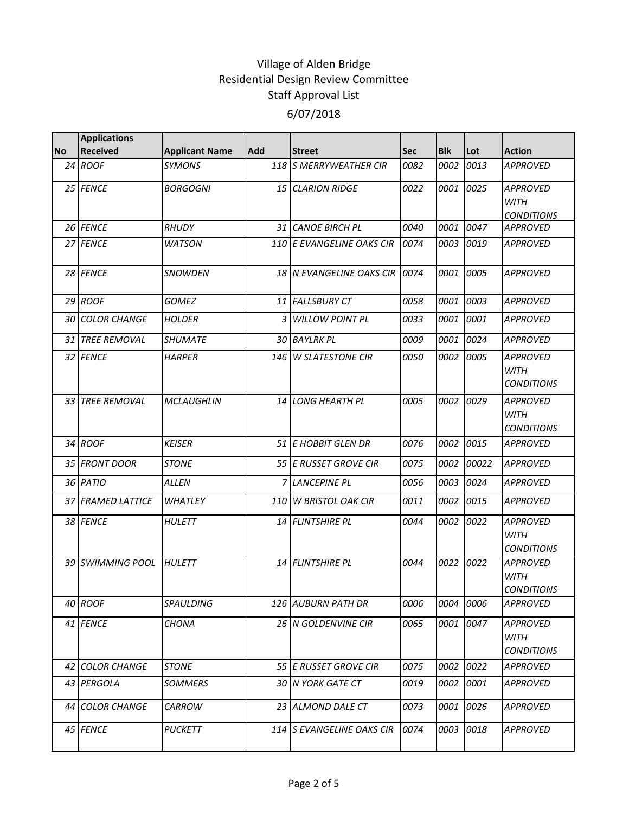|           | <b>Applications</b>    |                       |            |                                 |            |            |       |                                                     |
|-----------|------------------------|-----------------------|------------|---------------------------------|------------|------------|-------|-----------------------------------------------------|
| <b>No</b> | <b>Received</b>        | <b>Applicant Name</b> | <b>Add</b> | <b>Street</b>                   | <b>Sec</b> | <b>Blk</b> | Lot   | <b>Action</b>                                       |
|           | 24 ROOF                | <b>SYMONS</b>         |            | 118 S MERRYWEATHER CIR          | 0082       | 0002       | 0013  | <b>APPROVED</b>                                     |
|           | 25 FENCE               | <b>BORGOGNI</b>       |            | 15 CLARION RIDGE                | 0022       | 0001       | 0025  | <b>APPROVED</b><br><b>WITH</b><br><b>CONDITIONS</b> |
|           | 26 FENCE               | RHUDY                 |            | 31 CANOE BIRCH PL               | 0040       | 0001       | 0047  | <b>APPROVED</b>                                     |
|           | 27 FENCE               | <b>WATSON</b>         |            | 110 E EVANGELINE OAKS CIR       | 0074       | 0003       | 0019  | <b>APPROVED</b>                                     |
|           | 28 FENCE               | <b>SNOWDEN</b>        |            | 18 IN EVANGELINE OAKS CIR 10074 |            | 0001       | 0005  | <b>APPROVED</b>                                     |
|           | 29 ROOF                | <b>GOMEZ</b>          |            | 11 FALLSBURY CT                 | 0058       | 0001       | 0003  | <b>APPROVED</b>                                     |
|           | <b>30 COLOR CHANGE</b> | <b>HOLDER</b>         | 3          | <b>WILLOW POINT PL</b>          | 0033       | 0001       | 0001  | <b>APPROVED</b>                                     |
|           | 31 TREE REMOVAL        | <b>SHUMATE</b>        |            | 30 BAYLRK PL                    | 0009       | 0001       | 0024  | <b>APPROVED</b>                                     |
|           | 32 FENCE               | <b>HARPER</b>         | 146        | <b>W SLATESTONE CIR</b>         | 0050       | 0002       | 0005  | <b>APPROVED</b><br><b>WITH</b><br><b>CONDITIONS</b> |
|           | 33 TREE REMOVAL        | <b>MCLAUGHLIN</b>     |            | 14 LONG HEARTH PL               | 0005       | 0002       | 0029  | <b>APPROVED</b><br><b>WITH</b><br><b>CONDITIONS</b> |
|           | 34 ROOF                | <b>KEISER</b>         |            | 51 E HOBBIT GLEN DR             | 0076       | 0002       | 0015  | <b>APPROVED</b>                                     |
|           | 35 FRONT DOOR          | <b>STONE</b>          |            | 55 E RUSSET GROVE CIR           | 0075       | 0002       | 00022 | <b>APPROVED</b>                                     |
|           | 36 PATIO               | <b>ALLEN</b>          |            | 7 LANCEPINE PL                  | 0056       | 0003       | 0024  | <b>APPROVED</b>                                     |
|           | 37 FRAMED LATTICE      | <b>WHATLEY</b>        |            | 110 W BRISTOL OAK CIR           | 0011       | 0002       | 0015  | <b>APPROVED</b>                                     |
|           | 38 FENCE               | <b>HULETT</b>         |            | 14 FLINTSHIRE PL                | 0044       | 0002       | 0022  | <b>APPROVED</b><br><b>WITH</b><br><b>CONDITIONS</b> |
|           | 39 SWIMMING POOL       | <b>HULETT</b>         |            | 14 FLINTSHIRE PL                | 0044       | 0022       | 0022  | <b>APPROVED</b><br><b>WITH</b><br><b>CONDITIONS</b> |
|           | 40 ROOF                | SPAULDING             |            | 126 AUBURN PATH DR              | 0006       | 0004       | 0006  | <b>APPROVED</b>                                     |
|           | 41 FENCE               | <b>CHONA</b>          |            | 26 N GOLDENVINE CIR             | 0065       | 0001       | 0047  | <b>APPROVED</b><br>WITH<br><b>CONDITIONS</b>        |
|           | 42 COLOR CHANGE        | <b>STONE</b>          |            | 55 E RUSSET GROVE CIR           | 0075       | 0002       | 0022  | APPROVED                                            |
|           | 43 PERGOLA             | <b>SOMMERS</b>        |            | 30 N YORK GATE CT               | 0019       | 0002       | 0001  | APPROVED                                            |
|           | 44 COLOR CHANGE        | CARROW                |            | 23 ALMOND DALE CT               | 0073       | 0001       | 0026  | APPROVED                                            |
|           | 45 FENCE               | <b>PUCKETT</b>        |            | 114 S EVANGELINE OAKS CIR       | 0074       | 0003       | 0018  | <b>APPROVED</b>                                     |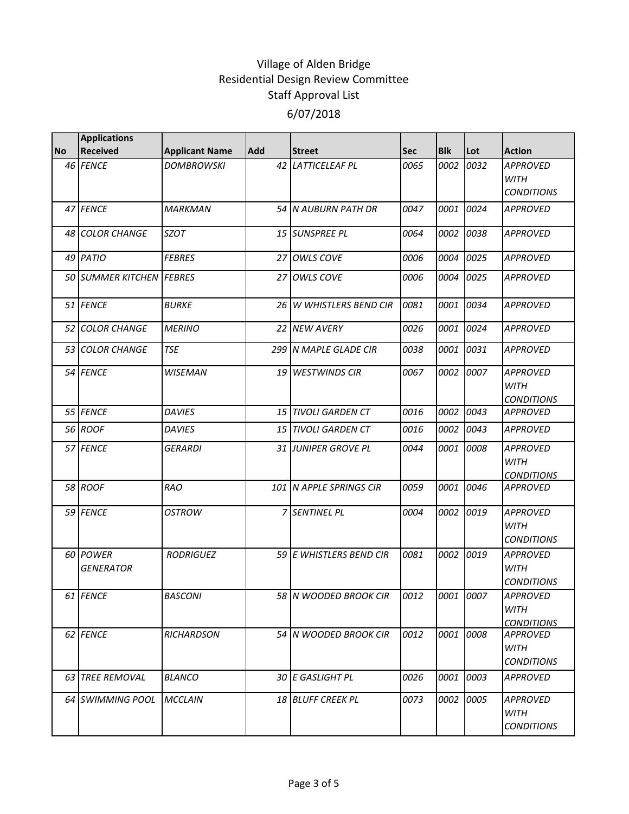|           | <b>Applications</b>          |                       |            |                         |            |            |           |                                                     |
|-----------|------------------------------|-----------------------|------------|-------------------------|------------|------------|-----------|-----------------------------------------------------|
| <b>No</b> | <b>Received</b>              | <b>Applicant Name</b> | <b>Add</b> | <b>Street</b>           | <b>Sec</b> | <b>Blk</b> | Lot       | <b>Action</b>                                       |
|           | 46 FENCE                     | <b>DOMBROWSKI</b>     | 42         | <b>LATTICELEAF PL</b>   | 0065       | 0002       | 0032      | <b>APPROVED</b><br><b>WITH</b><br><b>CONDITIONS</b> |
|           | 47 FENCE                     | <b>MARKMAN</b>        |            | 54 N AUBURN PATH DR     | 0047       | 0001       | 0024      | <b>APPROVED</b>                                     |
|           | 48 COLOR CHANGE              | <b>SZOT</b>           |            | 15 SUNSPREE PL          | 0064       | 0002       | 0038      | <b>APPROVED</b>                                     |
|           | 49 PATIO                     | <b>FEBRES</b>         |            | 27 OWLS COVE            | 0006       | 0004       | 0025      | <b>APPROVED</b>                                     |
|           | 50 SUMMER KITCHEN FEBRES     |                       |            | 27 OWLS COVE            | 0006       | 0004       | 0025      | <b>APPROVED</b>                                     |
|           | 51 FENCE                     | <b>BURKE</b>          |            | 26 W WHISTLERS BEND CIR | 0081       | 0001       | 0034      | <b>APPROVED</b>                                     |
|           | 52 COLOR CHANGE              | <b>MERINO</b>         |            | 22 NEW AVERY            | 0026       | 0001       | 0024      | <b>APPROVED</b>                                     |
|           | 53 COLOR CHANGE              | <b>TSE</b>            |            | 299 N MAPLE GLADE CIR   | 0038       | 0001       | 0031      | <b>APPROVED</b>                                     |
|           | 54 FENCE                     | <b>WISEMAN</b>        |            | 19 WESTWINDS CIR        | 0067       | 0002       | 0007      | <b>APPROVED</b><br><b>WITH</b><br><b>CONDITIONS</b> |
|           | 55 FENCE                     | <b>DAVIES</b>         |            | 15 TIVOLI GARDEN CT     | 0016       | 0002       | 0043      | <b>APPROVED</b>                                     |
|           | 56 ROOF                      | <b>DAVIES</b>         |            | 15 TIVOLI GARDEN CT     | 0016       | 0002       | 0043      | <b>APPROVED</b>                                     |
|           | 57 FENCE                     | <b>GERARDI</b>        |            | 31 JUNIPER GROVE PL     | 0044       | 0001       | 0008      | <b>APPROVED</b><br><b>WITH</b><br><b>CONDITIONS</b> |
|           | 58 ROOF                      | <b>RAO</b>            |            | 101 N APPLE SPRINGS CIR | 0059       | 0001       | 0046      | <b>APPROVED</b>                                     |
|           | 59 FENCE                     | <b>OSTROW</b>         |            | 7 SENTINEL PL           | 0004       | 0002       | 0019      | <b>APPROVED</b><br><b>WITH</b><br><b>CONDITIONS</b> |
|           | 60 POWER<br><b>GENERATOR</b> | <b>RODRIGUEZ</b>      |            | 59 E WHISTLERS BEND CIR | 0081       | 0002       | 0019      | <b>APPROVED</b><br><b>WITH</b><br><b>CONDITIONS</b> |
|           | 61 FENCE                     | <b>BASCONI</b>        |            | 58 N WOODED BROOK CIR   | 0012       |            | 0001 0007 | <b>APPROVED</b><br><b>WITH</b><br><b>CONDITIONS</b> |
|           | 62 FENCE                     | <b>RICHARDSON</b>     |            | 54 N WOODED BROOK CIR   | 0012       | 0001       | 0008      | <b>APPROVED</b><br><b>WITH</b><br><b>CONDITIONS</b> |
|           | 63 TREE REMOVAL              | <b>BLANCO</b>         |            | 30 E GASLIGHT PL        | 0026       | 0001       | 0003      | <b>APPROVED</b>                                     |
|           | 64 SWIMMING POOL             | <b>MCCLAIN</b>        |            | 18 BLUFF CREEK PL       | 0073       | 0002       | 0005      | <b>APPROVED</b><br>WITH<br><b>CONDITIONS</b>        |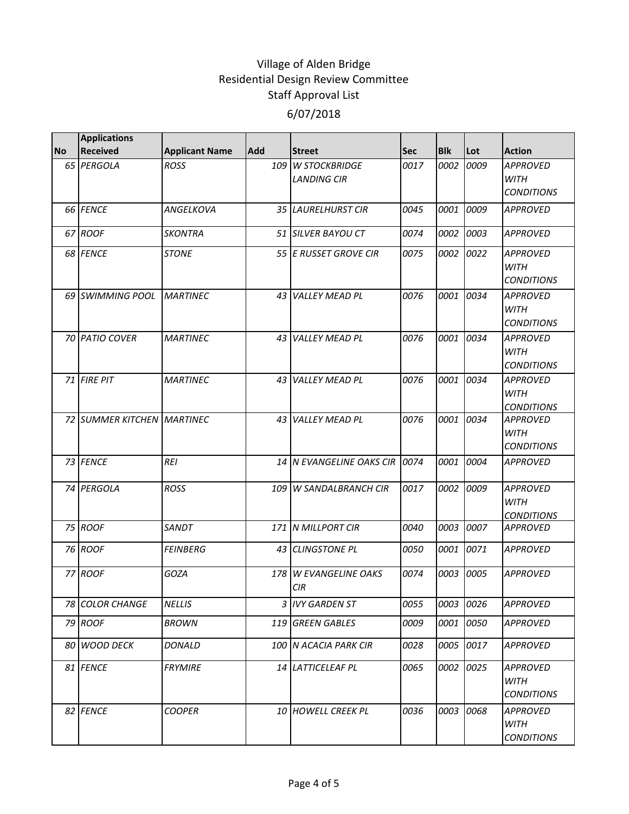|           | <b>Applications</b>        |                       |            |                                         |            |            |      |                                                     |
|-----------|----------------------------|-----------------------|------------|-----------------------------------------|------------|------------|------|-----------------------------------------------------|
| <b>No</b> | <b>Received</b>            | <b>Applicant Name</b> | <b>Add</b> | <b>Street</b>                           | <b>Sec</b> | <b>Blk</b> | Lot  | <b>Action</b>                                       |
|           | 65 PERGOLA                 | ROSS                  |            | 109 W STOCKBRIDGE<br><b>LANDING CIR</b> | 0017       | 0002       | 0009 | <b>APPROVED</b><br><b>WITH</b><br><b>CONDITIONS</b> |
|           | 66 FENCE                   | <b>ANGELKOVA</b>      |            | 35 LAURELHURST CIR                      | 0045       | 0001       | 0009 | <b>APPROVED</b>                                     |
|           | 67 ROOF                    | <b>SKONTRA</b>        |            | 51 SILVER BAYOU CT                      | 0074       | 0002       | 0003 | <b>APPROVED</b>                                     |
|           | 68 FENCE                   | <b>STONE</b>          |            | 55 E RUSSET GROVE CIR                   | 0075       | 0002       | 0022 | <b>APPROVED</b><br><b>WITH</b><br><b>CONDITIONS</b> |
|           | 69 SWIMMING POOL           | <b>MARTINEC</b>       | 43         | <b>VALLEY MEAD PL</b>                   | 0076       | 0001       | 0034 | <b>APPROVED</b><br><b>WITH</b><br><b>CONDITIONS</b> |
|           | 70 PATIO COVER             | <b>MARTINEC</b>       | 43         | <b>VALLEY MEAD PL</b>                   | 0076       | 0001       | 0034 | APPROVED<br><b>WITH</b><br><b>CONDITIONS</b>        |
|           | 71 FIRE PIT                | <b>MARTINEC</b>       |            | 43 VALLEY MEAD PL                       | 0076       | 0001       | 0034 | <b>APPROVED</b><br><b>WITH</b><br><b>CONDITIONS</b> |
|           | 72 SUMMER KITCHEN MARTINEC |                       | 43         | <b>VALLEY MEAD PL</b>                   | 0076       | 0001       | 0034 | <b>APPROVED</b><br><b>WITH</b><br><b>CONDITIONS</b> |
|           | 73 FENCE                   | <b>REI</b>            |            | 14 IN EVANGELINE OAKS CIR               | 0074       | 0001       | 0004 | <b>APPROVED</b>                                     |
|           | 74 PERGOLA                 | <b>ROSS</b>           |            | 109 W SANDALBRANCH CIR                  | 0017       | 0002       | 0009 | <b>APPROVED</b><br><b>WITH</b><br><b>CONDITIONS</b> |
|           | 75 ROOF                    | SANDT                 |            | 171 N MILLPORT CIR                      | 0040       | 0003       | 0007 | <b>APPROVED</b>                                     |
|           | 76 ROOF                    | <b>FEINBERG</b>       |            | 43 CLINGSTONE PL                        | 0050       | 0001       | 0071 | <b>APPROVED</b>                                     |
|           | 77 ROOF                    | GOZA                  | 178        | <b>W EVANGELINE OAKS</b><br><b>CIR</b>  | 0074       | 0003       | 0005 | <b>APPROVED</b>                                     |
|           | 78 COLOR CHANGE            | <b>NELLIS</b>         |            | 3 IVY GARDEN ST                         | 0055       | 0003       | 0026 | <b>APPROVED</b>                                     |
|           | 79 ROOF                    | <b>BROWN</b>          | 119        | <b>GREEN GABLES</b>                     | 0009       | 0001       | 0050 | <b>APPROVED</b>                                     |
|           | 80 WOOD DECK               | DONALD                |            | 100 N ACACIA PARK CIR                   | 0028       | 0005       | 0017 | <b>APPROVED</b>                                     |
|           | 81 FENCE                   | <b>FRYMIRE</b>        |            | 14 LATTICELEAF PL                       | 0065       | 0002       | 0025 | <b>APPROVED</b><br><b>WITH</b><br><b>CONDITIONS</b> |
|           | 82 FENCE                   | <b>COOPER</b>         |            | 10 HOWELL CREEK PL                      | 0036       | 0003       | 0068 | <b>APPROVED</b><br><b>WITH</b><br><b>CONDITIONS</b> |